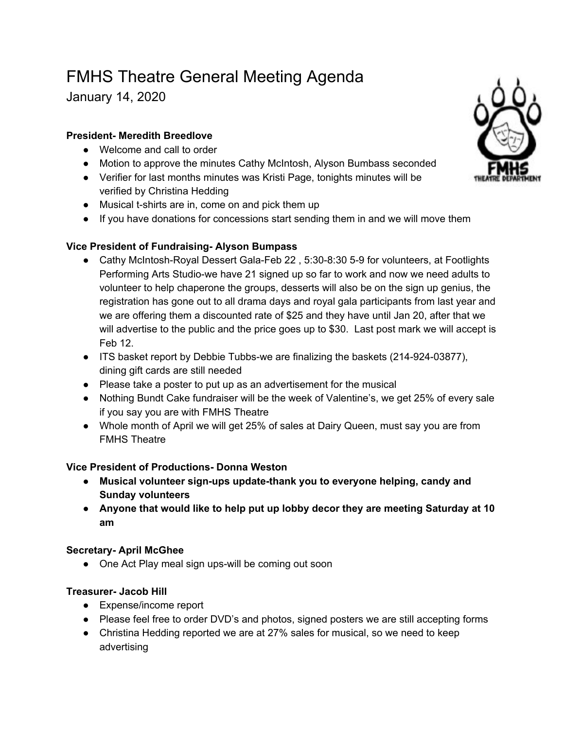# FMHS Theatre General Meeting Agenda

January 14, 2020

### **President- Meredith Breedlove**

- Welcome and call to order
- Motion to approve the minutes Cathy McIntosh, Alyson Bumbass seconded
- Verifier for last months minutes was Kristi Page, tonights minutes will be verified by Christina Hedding
- Musical t-shirts are in, come on and pick them up
- If you have donations for concessions start sending them in and we will move them

## **Vice President of Fundraising- Alyson Bumpass**

- Cathy McIntosh-Royal Dessert Gala-Feb 22, 5:30-8:30 5-9 for volunteers, at Footlights Performing Arts Studio-we have 21 signed up so far to work and now we need adults to volunteer to help chaperone the groups, desserts will also be on the sign up genius, the registration has gone out to all drama days and royal gala participants from last year and we are offering them a discounted rate of \$25 and they have until Jan 20, after that we will advertise to the public and the price goes up to \$30. Last post mark we will accept is Feb 12.
- ITS basket report by Debbie Tubbs-we are finalizing the baskets (214-924-03877), dining gift cards are still needed
- Please take a poster to put up as an advertisement for the musical
- Nothing Bundt Cake fundraiser will be the week of Valentine's, we get 25% of every sale if you say you are with FMHS Theatre
- Whole month of April we will get 25% of sales at Dairy Queen, must say you are from FMHS Theatre

#### **Vice President of Productions- Donna Weston**

- **● Musical volunteer sign-ups update-thank you to everyone helping, candy and Sunday volunteers**
- **● Anyone that would like to help put up lobby decor they are meeting Saturday at 10 am**

#### **Secretary- April McGhee**

• One Act Play meal sign ups-will be coming out soon

#### **Treasurer- Jacob Hill**

- Expense/income report
- Please feel free to order DVD's and photos, signed posters we are still accepting forms
- Christina Hedding reported we are at 27% sales for musical, so we need to keep advertising

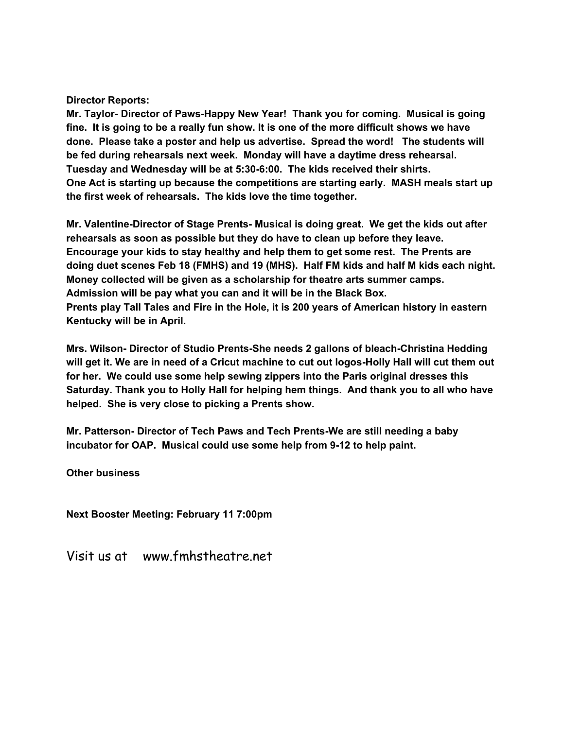#### **Director Reports:**

**Mr. Taylor- Director of Paws-Happy New Year! Thank you for coming. Musical is going** fine. It is going to be a really fun show. It is one of the more difficult shows we have **done. Please take a poster and help us advertise. Spread the word! The students will be fed during rehearsals next week. Monday will have a daytime dress rehearsal. Tuesday and Wednesday will be at 5:30-6:00. The kids received their shirts. One Act is starting up because the competitions are starting early. MASH meals start up the first week of rehearsals. The kids love the time together.**

**Mr. Valentine-Director of Stage Prents- Musical is doing great. We get the kids out after rehearsals as soon as possible but they do have to clean up before they leave. Encourage your kids to stay healthy and help them to get some rest. The Prents are doing duet scenes Feb 18 (FMHS) and 19 (MHS). Half FM kids and half M kids each night. Money collected will be given as a scholarship for theatre arts summer camps. Admission will be pay what you can and it will be in the Black Box. Prents play Tall Tales and Fire in the Hole, it is 200 years of American history in eastern Kentucky will be in April.**

**Mrs. Wilson- Director of Studio Prents-She needs 2 gallons of bleach-Christina Hedding** will get it. We are in need of a Cricut machine to cut out logos-Holly Hall will cut them out **for her. We could use some help sewing zippers into the Paris original dresses this Saturday. Thank you to Holly Hall for helping hem things. And thank you to all who have helped. She is very close to picking a Prents show.**

**Mr. Patterson- Director of Tech Paws and Tech Prents-We are still needing a baby incubator for OAP. Musical could use some help from 9-12 to help paint.**

**Other business**

**Next Booster Meeting: February 11 7:00pm**

Visit us at www.fmhstheatre.net